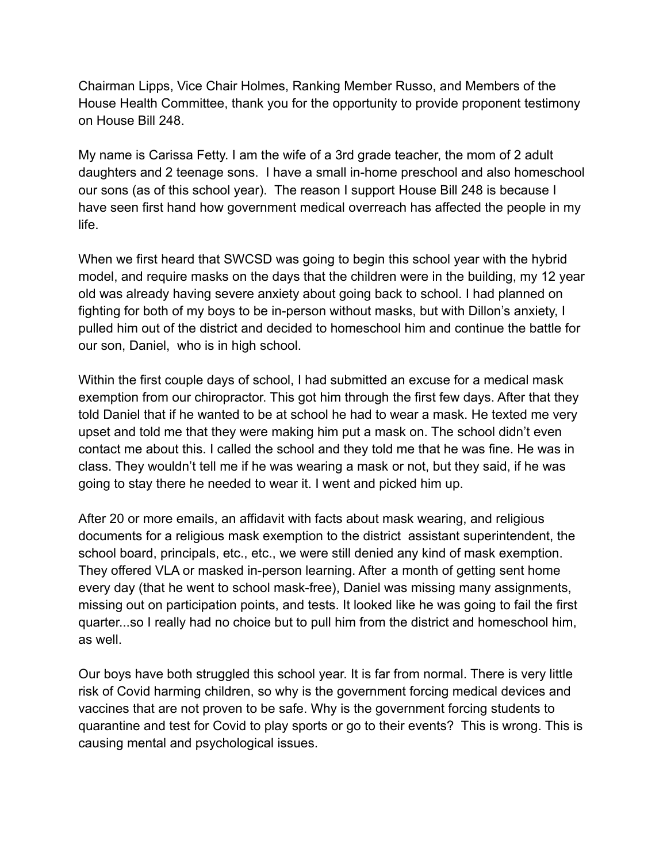Chairman Lipps, Vice Chair Holmes, Ranking Member Russo, and Members of the House Health Committee, thank you for the opportunity to provide proponent testimony on House Bill 248.

My name is Carissa Fetty. I am the wife of a 3rd grade teacher, the mom of 2 adult daughters and 2 teenage sons. I have a small in-home preschool and also homeschool our sons (as of this school year). The reason I support House Bill 248 is because I have seen first hand how government medical overreach has affected the people in my life.

When we first heard that SWCSD was going to begin this school year with the hybrid model, and require masks on the days that the children were in the building, my 12 year old was already having severe anxiety about going back to school. I had planned on fighting for both of my boys to be in-person without masks, but with Dillon's anxiety, I pulled him out of the district and decided to homeschool him and continue the battle for our son, Daniel, who is in high school.

Within the first couple days of school, I had submitted an excuse for a medical mask exemption from our chiropractor. This got him through the first few days. After that they told Daniel that if he wanted to be at school he had to wear a mask. He texted me very upset and told me that they were making him put a mask on. The school didn't even contact me about this. I called the school and they told me that he was fine. He was in class. They wouldn't tell me if he was wearing a mask or not, but they said, if he was going to stay there he needed to wear it. I went and picked him up.

After 20 or more emails, an affidavit with facts about mask wearing, and religious documents for a religious mask exemption to the district assistant superintendent, the school board, principals, etc., etc., we were still denied any kind of mask exemption. They offered VLA or masked in-person learning. After a month of getting sent home every day (that he went to school mask-free), Daniel was missing many assignments, missing out on participation points, and tests. It looked like he was going to fail the first quarter...so I really had no choice but to pull him from the district and homeschool him, as well.

Our boys have both struggled this school year. It is far from normal. There is very little risk of Covid harming children, so why is the government forcing medical devices and vaccines that are not proven to be safe. Why is the government forcing students to quarantine and test for Covid to play sports or go to their events? This is wrong. This is causing mental and psychological issues.